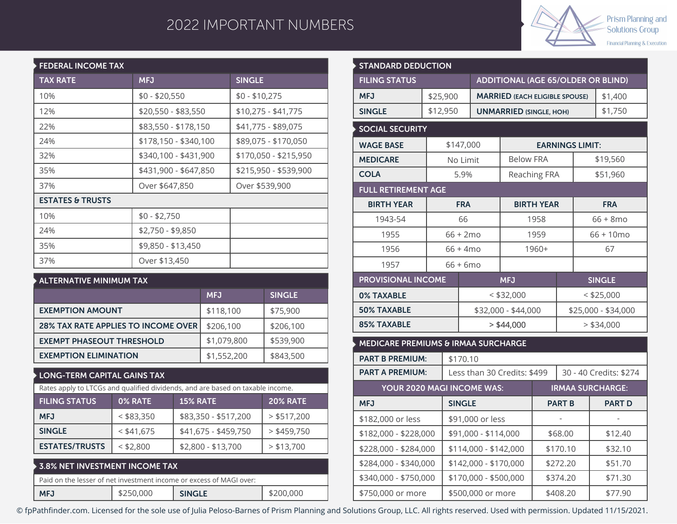## 2022 IMPORTANT NUMBERS



| <b>FEDERAL INCOME TAX</b>   |                       |                       |  |  |  |  |  |  |
|-----------------------------|-----------------------|-----------------------|--|--|--|--|--|--|
| <b>TAX RATE</b>             | <b>MFJ</b>            | <b>SINGLE</b>         |  |  |  |  |  |  |
| 10%                         | $$0 - $20,550$        | $$0 - $10,275$        |  |  |  |  |  |  |
| 12%                         | \$20,550 - \$83,550   | $$10,275 - $41,775$   |  |  |  |  |  |  |
| 22%                         | \$83,550 - \$178,150  | \$41,775 - \$89,075   |  |  |  |  |  |  |
| 24%                         | \$178,150 - \$340,100 | \$89,075 - \$170,050  |  |  |  |  |  |  |
| 32%                         | \$340,100 - \$431,900 | \$170,050 - \$215,950 |  |  |  |  |  |  |
| 35%                         | \$431,900 - \$647,850 | \$215,950 - \$539,900 |  |  |  |  |  |  |
| 37%                         | Over \$647,850        | Over \$539,900        |  |  |  |  |  |  |
| <b>ESTATES &amp; TRUSTS</b> |                       |                       |  |  |  |  |  |  |
| 10%                         | $$0 - $2,750$         |                       |  |  |  |  |  |  |
| 24%                         | \$2,750 - \$9,850     |                       |  |  |  |  |  |  |
| 35%                         | \$9,850 - \$13,450    |                       |  |  |  |  |  |  |
| 37%                         | Over \$13,450         |                       |  |  |  |  |  |  |

| $\blacktriangleright$ ALTERNATIVE MINIMUM TAX |             |               |  |  |  |  |
|-----------------------------------------------|-------------|---------------|--|--|--|--|
|                                               | <b>MFJ</b>  | <b>SINGLE</b> |  |  |  |  |
| <b>EXEMPTION AMOUNT</b>                       | \$118,100   | \$75,900      |  |  |  |  |
| <b>28% TAX RATE APPLIES TO INCOME OVER</b>    | \$206,100   | \$206,100     |  |  |  |  |
| <b>EXEMPT PHASEOUT THRESHOLD</b>              | \$1,079,800 | \$539,900     |  |  |  |  |
| <b>EXEMPTION ELIMINATION</b>                  | \$1,552,200 | \$843,500     |  |  |  |  |

## **LONG-TERM CAPITAL GAINS TAX**

| Rates apply to LTCGs and qualified dividends, and are based on taxable income. |              |                      |               |  |  |  |  |
|--------------------------------------------------------------------------------|--------------|----------------------|---------------|--|--|--|--|
| <b>FILING STATUS</b><br><b>15% RATE</b><br>0% RATE<br><b>20% RATE</b>          |              |                      |               |  |  |  |  |
| <b>MFJ</b>                                                                     | $<$ \$83,350 | \$83,350 - \$517,200 | $>$ \$517,200 |  |  |  |  |
| <b>SINGLE</b>                                                                  | $<$ \$41,675 | \$41,675 - \$459,750 | $>$ \$459,750 |  |  |  |  |
| <b>ESTATES/TRUSTS</b>                                                          | $<$ \$2,800  | \$2,800 - \$13,700   | $>$ \$13,700  |  |  |  |  |
|                                                                                |              |                      |               |  |  |  |  |

|                                                                     | $\blacktriangleright$ 3.8% NET INVESTMENT INCOME TAX $\blacktriangleright$ |               |           |  |  |  |  |
|---------------------------------------------------------------------|----------------------------------------------------------------------------|---------------|-----------|--|--|--|--|
| Paid on the lesser of net investment income or excess of MAGI over: |                                                                            |               |           |  |  |  |  |
| <b>MFJ</b>                                                          | \$250,000                                                                  | <b>SINGLE</b> | \$200,000 |  |  |  |  |

| <b>STANDARD DEDUCTION</b>                      |          |                    |                                           |                                       |                     |                        |                         |  |
|------------------------------------------------|----------|--------------------|-------------------------------------------|---------------------------------------|---------------------|------------------------|-------------------------|--|
| <b>FILING STATUS</b>                           |          |                    | <b>ADDITIONAL (AGE 65/OLDER OR BLIND)</b> |                                       |                     |                        |                         |  |
| <b>MFJ</b>                                     | \$25,900 |                    |                                           | <b>MARRIED (EACH ELIGIBLE SPOUSE)</b> |                     |                        | \$1,400                 |  |
| <b>SINGLE</b>                                  | \$12,950 |                    |                                           | <b>UNMARRIED (SINGLE, HOH)</b>        |                     |                        | \$1,750                 |  |
| <b>SOCIAL SECURITY</b>                         |          |                    |                                           |                                       |                     |                        |                         |  |
| <b>WAGE BASE</b>                               |          | \$147,000          |                                           |                                       |                     | <b>EARNINGS LIMIT:</b> |                         |  |
| <b>MEDICARE</b>                                |          | No Limit           |                                           | <b>Below FRA</b>                      |                     |                        | \$19,560                |  |
| <b>COLA</b>                                    |          | 5.9%               |                                           |                                       | Reaching FRA        |                        | \$51,960                |  |
| <b>FULL RETIREMENT AGE</b>                     |          |                    |                                           |                                       |                     |                        |                         |  |
| <b>BIRTH YEAR</b>                              |          | <b>FRA</b>         |                                           |                                       | <b>BIRTH YEAR</b>   |                        | <b>FRA</b>              |  |
| 1943-54                                        |          | 66                 |                                           |                                       | 1958                |                        | $66 + 8$ mo             |  |
| 1955                                           |          | $66 + 2mo$         |                                           |                                       | 1959                |                        | 66 + 10mo               |  |
| 1956                                           |          | $66 + 4 \text{mo}$ |                                           |                                       | 1960+               |                        | 67                      |  |
| 1957                                           |          | $66 + 6$ mo        |                                           |                                       |                     |                        |                         |  |
| <b>PROVISIONAL INCOME</b>                      |          |                    |                                           | <b>MFJ</b>                            |                     |                        | <b>SINGLE</b>           |  |
| <b>0% TAXABLE</b>                              |          |                    |                                           | $<$ \$32,000                          |                     |                        | $<$ \$25,000            |  |
| <b>50% TAXABLE</b>                             |          |                    |                                           | \$32,000 - \$44,000                   | \$25,000 - \$34,000 |                        |                         |  |
| <b>85% TAXABLE</b>                             |          |                    | $>$ \$44,000                              |                                       | $>$ \$34,000        |                        |                         |  |
| <b>MEDICARE PREMIUMS &amp; IRMAA SURCHARGE</b> |          |                    |                                           |                                       |                     |                        |                         |  |
| <b>PART B PREMIUM:</b>                         |          | \$170.10           |                                           |                                       |                     |                        |                         |  |
| <b>PART A PREMIUM:</b>                         |          |                    |                                           | Less than 30 Credits: \$499           |                     |                        | 30 - 40 Credits: \$274  |  |
| YOUR 2020 MAGI INCOME WAS:                     |          |                    |                                           |                                       |                     |                        | <b>IRMAA SURCHARGE:</b> |  |
| <b>MFJ</b>                                     |          | <b>SINGLE</b>      |                                           |                                       | <b>PART B</b>       |                        | <b>PART D</b>           |  |
| \$182,000 or less                              |          |                    | \$91,000 or less                          |                                       |                     |                        |                         |  |
| \$182,000 - \$228,000                          |          |                    | \$91,000 - \$114,000                      |                                       | \$68.00             |                        | \$12.40                 |  |
| \$228,000 - \$284,000                          |          |                    | \$114,000 - \$142,000                     |                                       | \$170.10            |                        | \$32.10                 |  |
| \$284,000 - \$340,000                          |          |                    | \$142,000 - \$170,000                     |                                       |                     | \$272.20               | \$51.70                 |  |
| \$340,000 - \$750,000                          |          |                    | \$170,000 - \$500,000                     |                                       | \$374.20            |                        | \$71.30                 |  |
| \$750,000 or more                              |          |                    | \$500,000 or more                         | \$408.20                              |                     |                        | \$77.90                 |  |

© fpPathfinder.com. Licensed for the sole use of Julia Peloso-Barnes of Prism Planning and Solutions Group, LLC. All rights reserved. Used with permission. Updated 11/15/2021.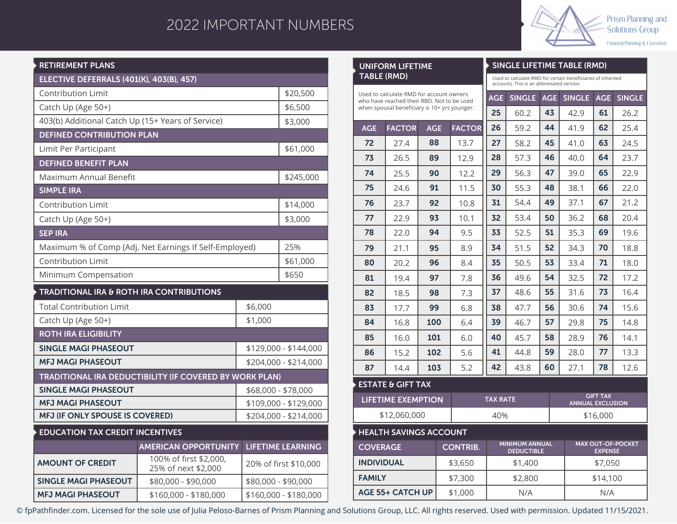## 2022 IMPORTANT NUMBERS

**UNIFORM LIFETIME**



**SINGLE LIFETIME TABLE (RMD)**

| <b>RETIREMENT PLANS</b>                                  |                                                                |                       |           |  |  |  |
|----------------------------------------------------------|----------------------------------------------------------------|-----------------------|-----------|--|--|--|
| ELECTIVE DEFERRALS (401(K), 403(B), 457)                 |                                                                |                       |           |  |  |  |
| <b>Contribution Limit</b>                                |                                                                | \$20,500              |           |  |  |  |
| Catch Up (Age 50+)                                       |                                                                |                       |           |  |  |  |
| 403(b) Additional Catch Up (15+ Years of Service)        |                                                                |                       |           |  |  |  |
| <b>DEFINED CONTRIBUTION PLAN</b>                         |                                                                |                       |           |  |  |  |
| Limit Per Participant                                    |                                                                |                       |           |  |  |  |
| <b>DEFINED BENEFIT PLAN</b>                              |                                                                |                       |           |  |  |  |
| Maximum Annual Benefit                                   |                                                                |                       | \$245,000 |  |  |  |
| <b>SIMPLE IRA</b>                                        |                                                                |                       |           |  |  |  |
| <b>Contribution Limit</b>                                |                                                                |                       | \$14,000  |  |  |  |
| Catch Up (Age 50+)                                       |                                                                |                       | \$3,000   |  |  |  |
| <b>SEP IRA</b>                                           |                                                                |                       |           |  |  |  |
| Maximum % of Comp (Adj. Net Earnings If Self-Employed)   |                                                                | 25%                   |           |  |  |  |
| <b>Contribution Limit</b>                                |                                                                | \$61,000              |           |  |  |  |
| Minimum Compensation                                     |                                                                | \$650                 |           |  |  |  |
| <b>TRADITIONAL IRA &amp; ROTH IRA CONTRIBUTIONS</b>      |                                                                |                       |           |  |  |  |
| <b>Total Contribution Limit</b>                          | \$6,000                                                        |                       |           |  |  |  |
| Catch Up (Age 50+)                                       | \$1,000                                                        |                       |           |  |  |  |
| <b>ROTH IRA ELIGIBILITY</b>                              |                                                                |                       |           |  |  |  |
| <b>SINGLE MAGI PHASEOUT</b>                              |                                                                | \$129,000 - \$144,000 |           |  |  |  |
| <b>MFJ MAGI PHASEOUT</b>                                 | \$204,000 - \$214,000                                          |                       |           |  |  |  |
|                                                          | <b>TRADITIONAL IRA DEDUCTIBILITY (IF COVERED BY WORK PLAN)</b> |                       |           |  |  |  |
| <b>SINGLE MAGI PHASEOUT</b>                              |                                                                | \$68,000 - \$78,000   |           |  |  |  |
| <b>MFJ MAGI PHASEOUT</b>                                 | \$109,000 - \$129,000                                          |                       |           |  |  |  |
| MFJ (IF ONLY SPOUSE IS COVERED)<br>\$204,000 - \$214,000 |                                                                |                       |           |  |  |  |
| <b>EDUCATION TAX CREDIT INCENTIVES</b>                   |                                                                |                       |           |  |  |  |
|                                                          | <b>LIFETIME LEARNING</b><br><b>AMERICAN OPPORTUNITY</b>        |                       |           |  |  |  |
| <b>AMOUNT OF CREDIT</b>                                  | 100% of first \$2,000,<br>25% of next \$2,000                  | 20% of first \$10,000 |           |  |  |  |
| <b>SINGLE MAGI PHASEOUT</b>                              | \$80,000 - \$90,000                                            | \$80,000 - \$90,000   |           |  |  |  |

\$160,000 - \$180,000

**MFJ MAGI PHASEOUT**

| TABLE (RMD)                                                                            |                               |            |    | Used to calculate RMD for certain beneficiaries of inherited<br>accounts. This is an abbreviated version. |               |                                                               |                                            |            |               |      |  |
|----------------------------------------------------------------------------------------|-------------------------------|------------|----|-----------------------------------------------------------------------------------------------------------|---------------|---------------------------------------------------------------|--------------------------------------------|------------|---------------|------|--|
| Used to calculate RMD for account owners<br>who have reached their RBD. Not to be used |                               |            |    | <b>AGE</b>                                                                                                | <b>SINGLE</b> | <b>AGE</b>                                                    | <b>SINGLE</b>                              | <b>AGE</b> | <b>SINGLE</b> |      |  |
| when spousal beneficiary is 10+ yrs younger.                                           |                               |            | 25 | 60.2                                                                                                      | 43            | 42.9                                                          | 61                                         | 26.2       |               |      |  |
| <b>AGE</b>                                                                             | <b>FACTOR</b>                 | <b>AGE</b> |    | <b>FACTOR</b>                                                                                             | 26            | 59.2                                                          | 44                                         | 41.9       | 62            | 25.4 |  |
| 72                                                                                     | 27.4                          | 88         |    | 13.7                                                                                                      | 27            | 58.2                                                          | 45                                         | 41.0       | 63            | 24.5 |  |
| 73                                                                                     | 26.5                          | 89         |    | 12.9                                                                                                      | 28            | 57.3                                                          | 46                                         | 40.0       | 64            | 23.7 |  |
| 74                                                                                     | 25.5                          | 90         |    | 12.2                                                                                                      | 29            | 56.3                                                          | 47                                         | 39.0       | 65            | 22.9 |  |
| 75                                                                                     | 24.6                          | 91         |    | 11.5                                                                                                      | 30            | 55.3                                                          | 48                                         | 38.1       | 66            | 22.0 |  |
| 76                                                                                     | 23.7                          | 92         |    | 10.8                                                                                                      | 31            | 54.4                                                          | 49                                         | 37.1       | 67            | 21.2 |  |
| 77                                                                                     | 22.9                          | 93         |    | 10.1                                                                                                      | 32            | 53.4                                                          | 50                                         | 36.2       | 68            | 20.4 |  |
| 78                                                                                     | 22.0                          | 94         |    | 9.5                                                                                                       | 33            | 52.5                                                          | 51                                         | 35.3       | 69            | 19.6 |  |
| 79                                                                                     | 21.1                          | 95         |    | 8.9                                                                                                       | 34            | 51.5                                                          | 52                                         | 34.3       | 70            | 18.8 |  |
| 80                                                                                     | 20.2                          | 96         |    | 8.4                                                                                                       | 35            | 50.5                                                          | 53                                         | 33.4       | 71            | 18.0 |  |
| 81                                                                                     | 19.4                          | 97         |    | 7.8                                                                                                       | 36            | 49.6                                                          | 54                                         | 32.5       | 72            | 17.2 |  |
| 82                                                                                     | 18.5                          | 98         |    | 7.3                                                                                                       | 37            | 48.6                                                          | 55                                         | 31.6       | 73            | 16.4 |  |
| 83                                                                                     | 17.7                          | 99         |    | 6.8                                                                                                       | 38            | 47.7                                                          | 56                                         | 30.6       | 74            | 15.6 |  |
| 84                                                                                     | 16.8                          | 100        |    | 6.4                                                                                                       | 39            | 46.7                                                          | 57                                         | 29.8       | 75            | 14.8 |  |
| 85                                                                                     | 16.0                          | 101        |    | 6.0                                                                                                       | 40            | 45.7                                                          | 58                                         | 28.9       | 76            | 14.1 |  |
| 86                                                                                     | 15.2                          | 102        |    | 5.6                                                                                                       | 41            | 44.8                                                          | 59                                         | 28.0       | 77            | 13.3 |  |
| 87                                                                                     | 14.4                          | 103        |    | 5.2                                                                                                       | 42            | 43.8                                                          | 60                                         | 27.1       | 78            | 12.6 |  |
|                                                                                        | <b>ESTATE &amp; GIFT TAX</b>  |            |    |                                                                                                           |               |                                                               |                                            |            |               |      |  |
|                                                                                        | <b>LIFETIME EXEMPTION</b>     |            |    |                                                                                                           |               | <b>GIFT TAX</b><br><b>TAX RATE</b><br><b>ANNUAL EXCLUSION</b> |                                            |            |               |      |  |
| \$12,060,000                                                                           |                               |            |    | 40%<br>\$16,000                                                                                           |               |                                                               |                                            |            |               |      |  |
|                                                                                        | <b>HEALTH SAVINGS ACCOUNT</b> |            |    |                                                                                                           |               |                                                               |                                            |            |               |      |  |
| <b>COVERAGE</b><br><b>CONTRIB.</b>                                                     |                               |            |    | <b>MINIMUM ANNUAL</b><br><b>DEDUCTIBLE</b>                                                                |               |                                                               | <b>MAX OUT-OF-POCKET</b><br><b>EXPENSE</b> |            |               |      |  |
| <b>INDIVIDUAL</b>                                                                      |                               |            |    | \$3,650                                                                                                   |               | \$1,400                                                       |                                            |            | \$7,050       |      |  |
| <b>FAMILY</b>                                                                          |                               |            |    | \$7,300                                                                                                   |               | \$2,800                                                       |                                            |            | \$14,100      |      |  |
| <b>AGE 55+ CATCH UP</b><br>\$1,000                                                     |                               |            |    | N/A                                                                                                       |               |                                                               | N/A                                        |            |               |      |  |

© fpPathfinder.com. Licensed for the sole use of Julia Peloso-Barnes of Prism Planning and Solutions Group, LLC. All rights reserved. Used with permission. Updated 11/15/2021.

\$160,000 - \$180,000